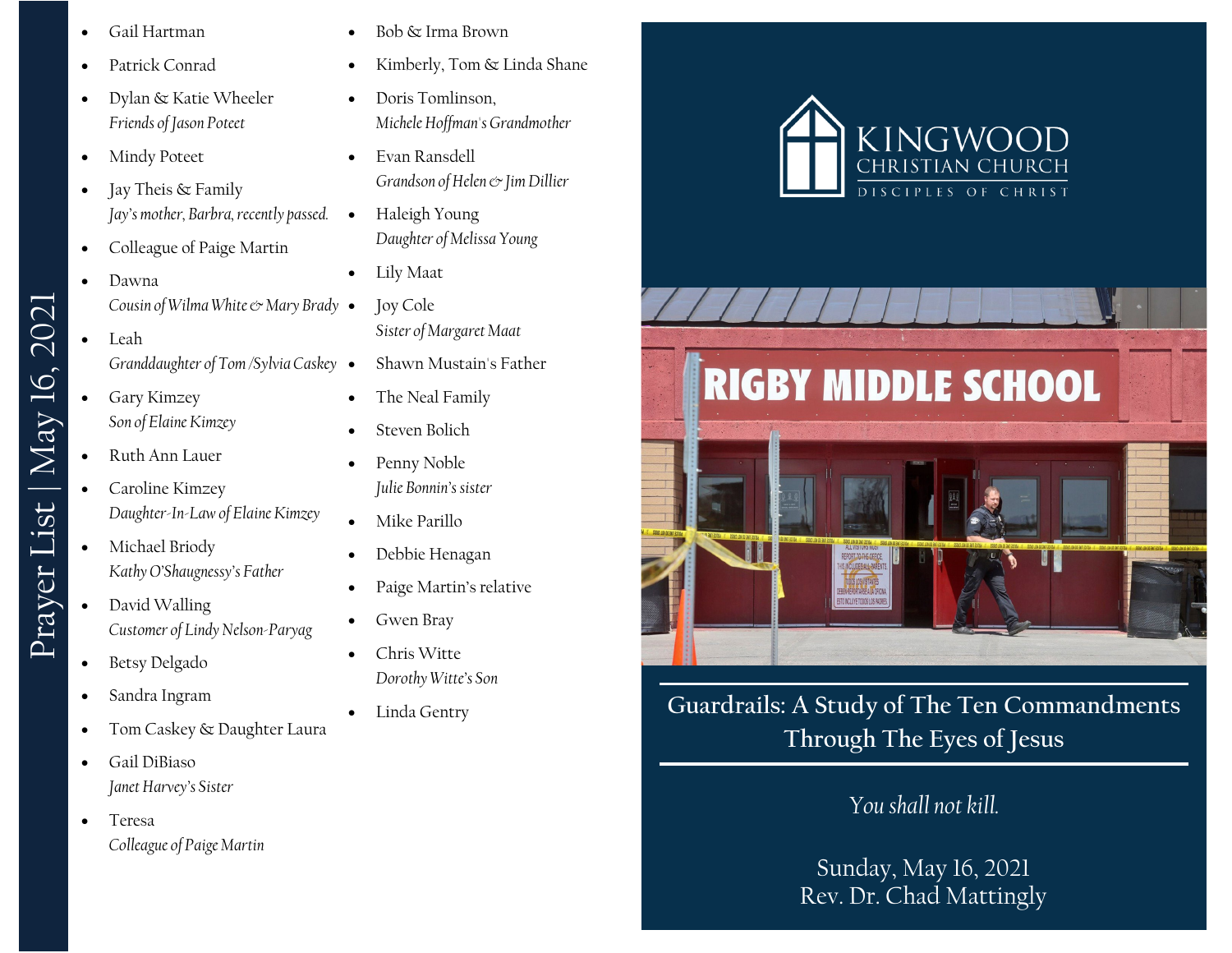- Gail Hartman
- Patrick Conrad
- Dylan & Katie Wheeler *Friends of Jason Poteet*
- Mindy Poteet
- Jay Theis & Family *Jay's mother, Barbra, recently passed.*
- Colleague of Paige Martin
- Dawna *Cousin of Wilma White*  $\circ$  Mary Brady •
- Leah *Granddaughter of Tom /Sylvia Caskey*
- Gary Kimzey *Son of Elaine Kimzey*
- Ruth Ann Lauer

Prayer List | May 16, 2021

Prayer List | May 16, 2021

- Caroline Kimzey *Daughter-In-Law of Elaine Kimzey*
- Michael Briody *Kathy O'Shaugnessy's Father*
- David Walling *Customer of Lindy Nelson-Paryag*
- Betsy Delgado
- Sandra Ingram
- Tom Caskey & Daughter Laura
- Gail DiBiaso *Janet Harvey's Sister*
- Teresa *Colleague of Paige Martin*
- Bob & Irma Brown
- Kimberly, Tom & Linda Shane
- Doris Tomlinson, *Michele Hoffman's Grandmother*
- Evan Ransdell *Grandson of Helen & Jim Dillier*
- Haleigh Young *Daughter of Melissa Young*
- Lily Maat
	- Joy Cole *Sister of Margaret Maat*
- Shawn Mustain's Father
- The Neal Family
- Steven Bolich
- Penny Noble *Julie Bonnin's sister*
- Mike Parillo
- Debbie Henagan
- Paige Martin's relative
- Gwen Bray
- Chris Witte *Dorothy Witte's Son*
- Linda Gentry



**Guardrails: A Study of The Ten Commandments Through The Eyes of Jesus**

# *You shall not kill.*

Sunday, May 16, 2021 Rev. Dr. Chad Mattingly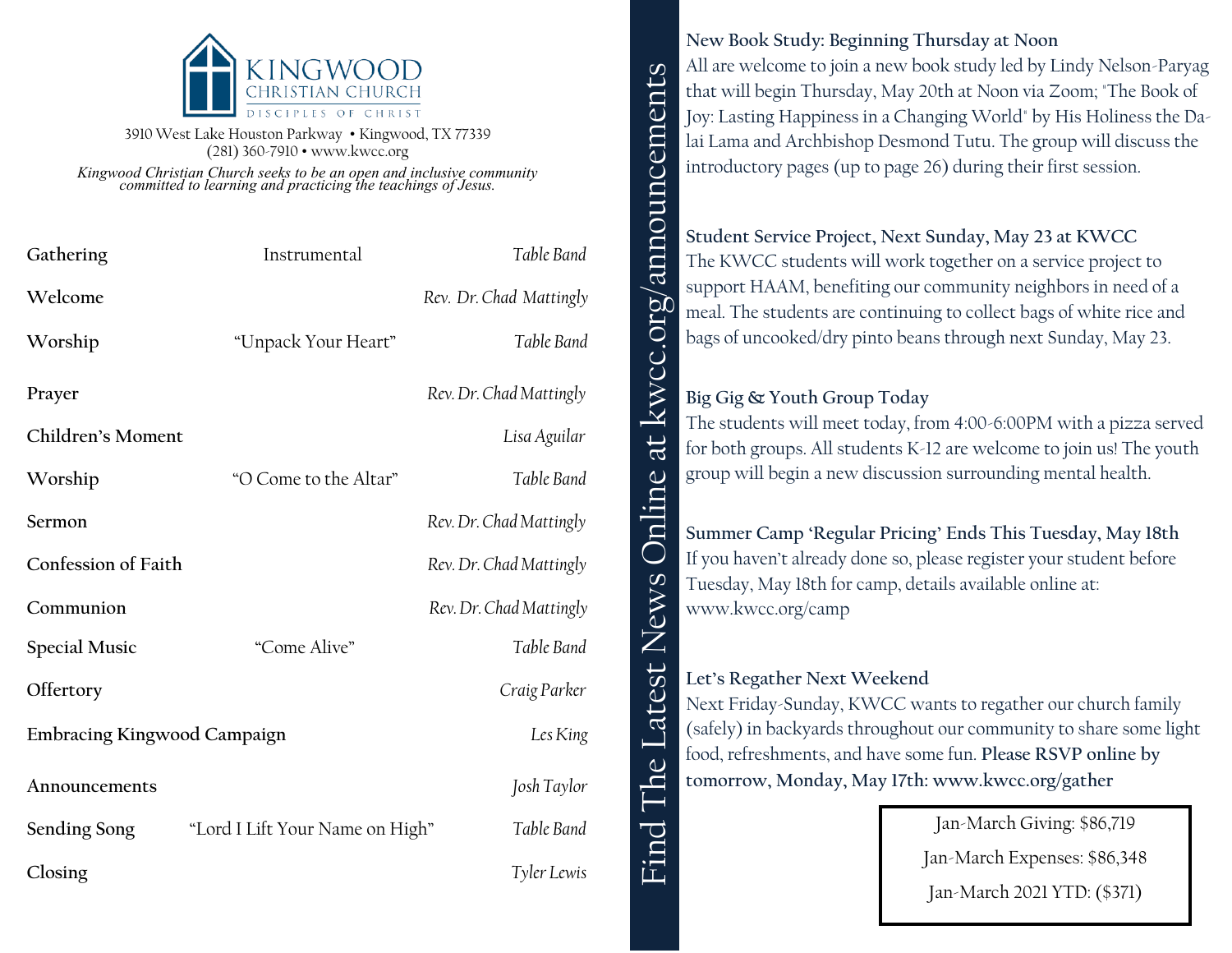

3910 West Lake Houston Parkway • Kingwood, TX 77339 (281) 360-7910 • www.kwcc.org

*Kingwood Christian Church seeks to be an open and inclusive community committed to learning and practicing the teachings of Jesus.*

| Gathering                   | Instrumental                    | Table Band              |
|-----------------------------|---------------------------------|-------------------------|
| Welcome                     |                                 | Rev. Dr. Chad Mattingly |
| Worship                     | "Unpack Your Heart"             | Table Band              |
| Prayer                      |                                 | Rev. Dr. Chad Mattingly |
| Children's Moment           |                                 | Lisa Aguilar            |
| Worship                     | "O Come to the Altar"           | Table Band              |
| Sermon                      |                                 | Rev. Dr. Chad Mattingly |
| Confession of Faith         |                                 | Rev. Dr. Chad Mattingly |
| Communion                   |                                 | Rev. Dr. Chad Mattingly |
| <b>Special Music</b>        | "Come Alive"                    | Table Band              |
| Offertory                   |                                 | Craig Parker            |
| Embracing Kingwood Campaign |                                 | Les King                |
| Announcements               |                                 | Josh Taylor             |
| Sending Song                | "Lord I Lift Your Name on High" | Table Band              |
| Closing                     |                                 | Tyler Lewis             |

#### **New Book Study: Beginning Thursday at Noon**

All are welcome to join a new book study led by Lindy Nelson-Paryag that will begin Thursday, May 20th at Noon via Zoom; "The Book of Joy: Lasting Happiness in a Changing World" by His Holiness the Dalai Lama and Archbishop Desmond Tutu. The group will discuss the introductory pages (up to page 26) during their first session.

### **Student Service Project, Next Sunday, May 23 at KWCC**

Find The Latest News Online at kwcc.org/announcements The KWCC students will work together on a service project to support HAAM, benefiting our community neighbors in need of a meal. The students are continuing to collect bags of white rice and bags of uncooked/dry pinto beans through next Sunday, May 23.

#### **Big Gig & Youth Group Today**

announcements

kwcc.org

 $a$ t

line

 $\Box$ 

News

atest

 $\omega$  $\bar{\mathbf{C}}$ ┝═

The students will meet today, from 4:00-6:00PM with a pizza served for both groups. All students K-12 are welcome to join us! The youth group will begin a new discussion surrounding mental health.

**Summer Camp 'Regular Pricing' Ends This Tuesday, May 18th** If you haven't already done so, please register your student before Tuesday, May 18th for camp, details available online at: www.kwcc.org/camp

#### **Let's Regather Next Weekend**

Next Friday-Sunday, KWCC wants to regather our church family (safely) in backyards throughout our community to share some light food, refreshments, and have some fun. **Please RSVP online by tomorrow, Monday, May 17th: www.kwcc.org/gather**

Jan-March Giving: \$86,719

Jan-March Expenses: \$86,348

Jan-March 2021 YTD: (\$371)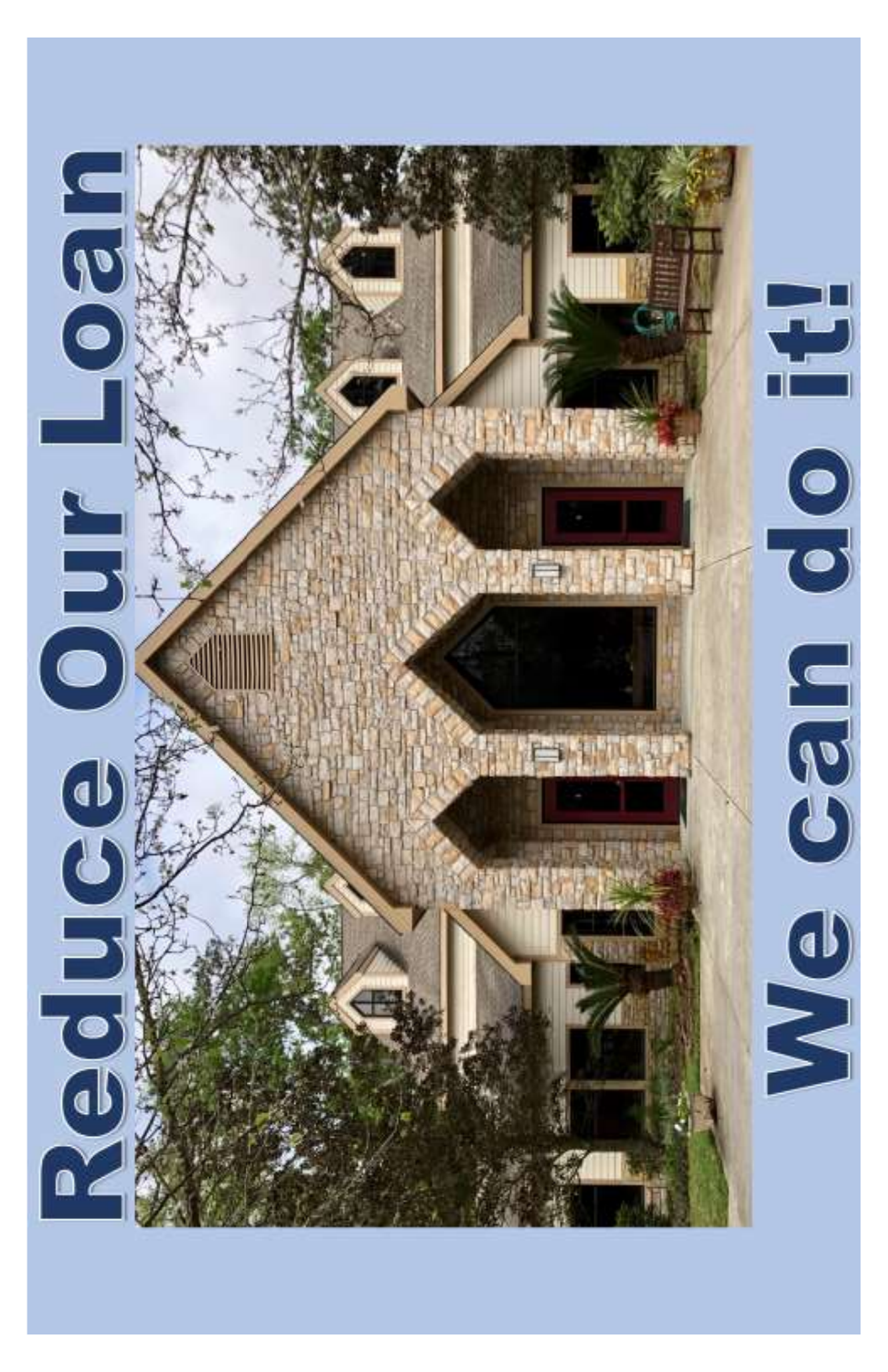